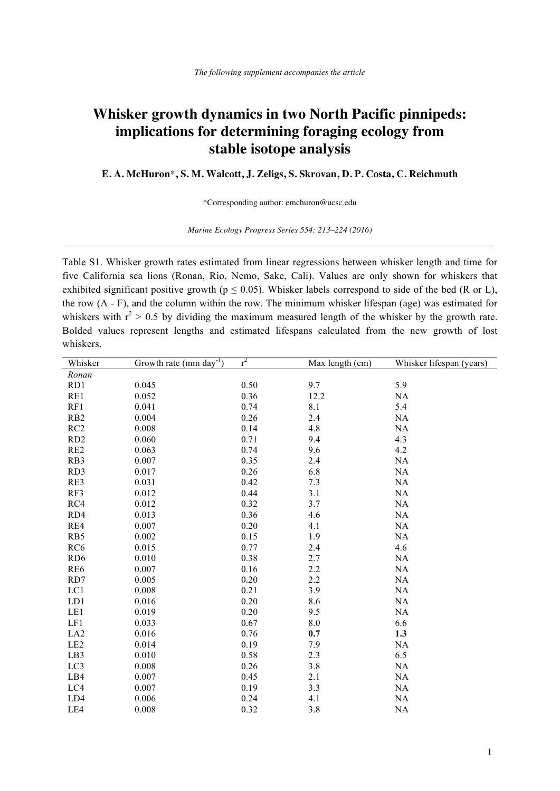## **Whisker growth dynamics in two North Pacific pinnipeds: implications for determining foraging ecology from stable isotope analysis**

**E. A. McHuron**\***, S. M. Walcott, J. Zeligs, S. Skrovan, D. P. Costa, C. Reichmuth**

\*Corresponding author: emchuron@ucsc.edu

*Marine Ecology Progress Series 554: 213–224 (2016)*

Table S1. Whisker growth rates estimated from linear regressions between whisker length and time for five California sea lions (Ronan, Rio, Nemo, Sake, Cali). Values are only shown for whiskers that exhibited significant positive growth ( $p \le 0.05$ ). Whisker labels correspond to side of the bed (R or L), the row (A - F), and the column within the row. The minimum whisker lifespan (age) was estimated for whiskers with  $r^2 > 0.5$  by dividing the maximum measured length of the whisker by the growth rate. Bolded values represent lengths and estimated lifespans calculated from the new growth of lost whiskers.

| Whisker         | Growth rate (mm day <sup>-1</sup> ) | $r^2$ | Max length (cm) | Whisker lifespan (years) |
|-----------------|-------------------------------------|-------|-----------------|--------------------------|
| Ronan           |                                     |       |                 |                          |
| RD1             | 0.045                               | 0.50  | 9.7             | 5.9                      |
| RE1             | 0.052                               | 0.36  | 12.2            | NA                       |
| RF1             | 0.041                               | 0.74  | 8.1             | 5.4                      |
| RB <sub>2</sub> | 0.004                               | 0.26  | 2.4             | <b>NA</b>                |
| RC <sub>2</sub> | 0.008                               | 0.14  | 4.8             | NA                       |
| RD <sub>2</sub> | 0.060                               | 0.71  | 9.4             | 4.3                      |
| RE <sub>2</sub> | 0.063                               | 0.74  | 9.6             | 4.2                      |
| RB3             | 0.007                               | 0.35  | 2.4             | <b>NA</b>                |
| RD3             | 0.017                               | 0.26  | 6.8             | NA                       |
| RE3             | 0.031                               | 0.42  | 7.3             | NA                       |
| RF3             | 0.012                               | 0.44  | 3.1             | NA                       |
| RC4             | 0.012                               | 0.32  | 3.7             | NA                       |
| RD4             | 0.013                               | 0.36  | 4.6             | NA                       |
| RE4             | 0.007                               | 0.20  | 4.1             | NA                       |
| RB5             | 0.002                               | 0.15  | 1.9             | NA                       |
| RC <sub>6</sub> | 0.015                               | 0.77  | 2.4             | 4.6                      |
| RD <sub>6</sub> | 0.010                               | 0.38  | 2.7             | NA                       |
| RE6             | 0.007                               | 0.16  | 2.2             | NA                       |
| RD7             | 0.005                               | 0.20  | 2.2             | NA                       |
| LC1             | 0.008                               | 0.21  | 3.9             | NA                       |
| LD1             | 0.016                               | 0.20  | 8.6             | NA                       |
| LE1             | 0.019                               | 0.20  | 9.5             | NA                       |
| LF1             | 0.033                               | 0.67  | $8.0\,$         | 6.6                      |
| LA <sub>2</sub> | 0.016                               | 0.76  | 0.7             | 1.3                      |
| LE <sub>2</sub> | 0.014                               | 0.19  | 7.9             | <b>NA</b>                |
| LB3             | 0.010                               | 0.58  | 2.3             | 6.5                      |
| LC3             | 0.008                               | 0.26  | 3.8             | NA                       |
| LB4             | 0.007                               | 0.45  | 2.1             | NA                       |
| LC4             | 0.007                               | 0.19  | 3.3             | NA                       |
| LD4             | 0.006                               | 0.24  | 4.1             | NA                       |
| LE4             | 0.008                               | 0.32  | 3.8             | NA                       |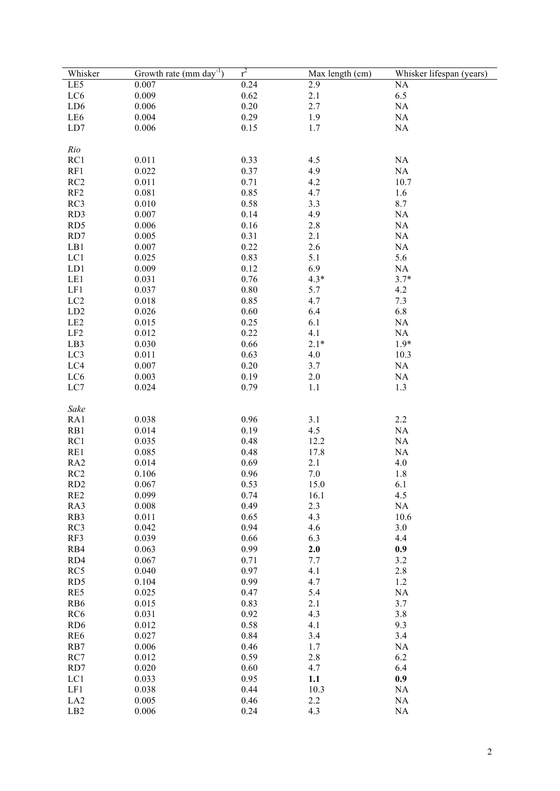| Whisker         | Growth rate (mm day <sup>-1</sup> ) | $r^2$        | Max length (cm) | Whisker lifespan (years) |
|-----------------|-------------------------------------|--------------|-----------------|--------------------------|
| LE5             | 0.007                               | 0.24         | 2.9             | NA                       |
| LC <sub>6</sub> | 0.009                               | 0.62         | 2.1             | 6.5                      |
| LD <sub>6</sub> | 0.006                               | 0.20         | 2.7             | NA                       |
| LE6             | 0.004                               | 0.29         | 1.9             | $\rm NA$                 |
| LD7             | 0.006                               | 0.15         | 1.7             | $\rm NA$                 |
|                 |                                     |              |                 |                          |
| Rio             |                                     |              |                 |                          |
| RC1             | 0.011                               | 0.33         | 4.5             | NA                       |
| RF1             | 0.022                               | 0.37         | 4.9             | NA                       |
| RC2             | 0.011                               | 0.71         | 4.2             | 10.7                     |
| RF2             | 0.081                               | 0.85         | 4.7             | 1.6                      |
| RC3             | 0.010                               | 0.58         | 3.3             | 8.7                      |
| RD3             | 0.007                               | 0.14         | 4.9             | NA                       |
| RD5             | 0.006                               | 0.16         | 2.8             | NA                       |
| RD7             | 0.005                               | 0.31         | 2.1             | NA                       |
| LB1             | 0.007                               | 0.22         | 2.6             | NA                       |
| LC1             | 0.025                               | 0.83         | 5.1             | 5.6                      |
| LD1             | 0.009                               | 0.12         | 6.9             | NA                       |
| LE1             | 0.031                               | 0.76         | $4.3*$          | $3.7*$                   |
| LF1             | 0.037                               | 0.80         | 5.7             | 4.2                      |
| LC <sub>2</sub> | 0.018                               | 0.85         | 4.7             | 7.3                      |
| LD <sub>2</sub> | 0.026                               | 0.60         | 6.4             | 6.8                      |
| LE <sub>2</sub> | 0.015                               | 0.25         | 6.1             | NA                       |
| LF2             | 0.012                               | 0.22         | 4.1             | NA                       |
| LB3             | 0.030                               | 0.66         | $2.1*$          | $1.9*$                   |
| LC3             | 0.011                               | 0.63         | 4.0             | 10.3                     |
| LC4             | 0.007                               | 0.20         | 3.7             | NA                       |
| LC6             | 0.003                               | 0.19         | $2.0\,$         | NA                       |
| LC7             | 0.024                               | 0.79         | 1.1             | 1.3                      |
|                 |                                     |              |                 |                          |
| Sake            | 0.038                               | 0.96         |                 |                          |
| RA1             |                                     |              | 3.1<br>4.5      | 2.2                      |
| RB1             | 0.014<br>0.035                      | 0.19<br>0.48 |                 | NA                       |
| RC1<br>RE1      | 0.085                               | 0.48         | 12.2<br>17.8    | NA<br>NA                 |
| RA <sub>2</sub> | 0.014                               | 0.69         | 2.1             | 4.0                      |
| RC <sub>2</sub> | 0.106                               | 0.96         | 7.0             | 1.8                      |
| RD <sub>2</sub> | 0.067                               | 0.53         | 15.0            | 6.1                      |
| RE <sub>2</sub> | 0.099                               | 0.74         | 16.1            | 4.5                      |
| RA3             | 0.008                               | 0.49         | 2.3             | NA                       |
| RB3             | 0.011                               | 0.65         | 4.3             | 10.6                     |
| RC3             | 0.042                               | 0.94         | 4.6             | 3.0                      |
| RF3             | 0.039                               | 0.66         | 6.3             | 4.4                      |
| RB4             | 0.063                               | 0.99         | 2.0             | 0.9                      |
| RD4             | 0.067                               | 0.71         | 7.7             | 3.2                      |
| RC5             | 0.040                               | 0.97         | 4.1             | 2.8                      |
| RD5             | 0.104                               | 0.99         | 4.7             | 1.2                      |
| RE5             | 0.025                               | 0.47         | 5.4             | NA                       |
| R <sub>B6</sub> | 0.015                               | 0.83         | 2.1             | 3.7                      |
| RC <sub>6</sub> | 0.031                               | 0.92         | 4.3             | 3.8                      |
| RD <sub>6</sub> | 0.012                               | 0.58         | 4.1             | 9.3                      |
| RE <sub>6</sub> | 0.027                               | 0.84         | 3.4             | 3.4                      |
| RB7             | 0.006                               | 0.46         | 1.7             | NA                       |
| RC7             | 0.012                               | 0.59         | 2.8             | 6.2                      |
| RD7             | 0.020                               | 0.60         | 4.7             | 6.4                      |
| LC1             | 0.033                               | 0.95         | 1.1             | 0.9                      |
| LF1             | 0.038                               | 0.44         | 10.3            | NA                       |
| LA <sub>2</sub> | 0.005                               | 0.46         | 2.2             | NA                       |
| LB <sub>2</sub> | 0.006                               | 0.24         | 4.3             | NA                       |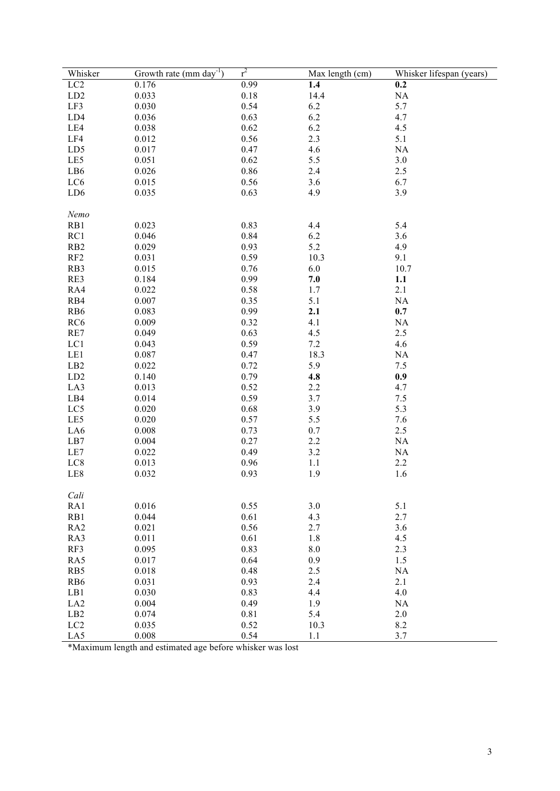| Whisker         | Growth rate (mm day <sup>-1</sup> ) | $r^2$    | Max length (cm) | Whisker lifespan (years) |
|-----------------|-------------------------------------|----------|-----------------|--------------------------|
| LC <sub>2</sub> | 0.176                               | 0.99     | 1.4             | 0.2                      |
| LD2             | 0.033                               | $0.18\,$ | 14.4            | $\rm NA$                 |
| LF3             | 0.030                               | 0.54     | 6.2             | 5.7                      |
| LD4             | 0.036                               | 0.63     | 6.2             | 4.7                      |
| LE4             | 0.038                               | 0.62     | 6.2             | 4.5                      |
| LF4             | 0.012                               | 0.56     | 2.3             | 5.1                      |
| LD5             | 0.017                               | 0.47     | 4.6             | NA                       |
| LE5             | 0.051                               | 0.62     | 5.5             | 3.0                      |
| LB6             | 0.026                               | 0.86     | 2.4             | 2.5                      |
| LC6             | 0.015                               | 0.56     | 3.6             | 6.7                      |
| LD6             | 0.035                               | 0.63     | 4.9             | 3.9                      |
|                 |                                     |          |                 |                          |
| Nemo            |                                     |          |                 |                          |
| RB1             | 0.023                               | 0.83     | 4.4             | 5.4                      |
| RC1             | 0.046                               | 0.84     | 6.2             | 3.6                      |
| RB <sub>2</sub> | 0.029                               | 0.93     | 5.2             | 4.9                      |
| RF2             | 0.031                               | 0.59     | 10.3            | 9.1                      |
| RB3             | 0.015                               | 0.76     | 6.0             | 10.7                     |
| RE3             | 0.184                               | 0.99     | 7.0             | 1.1                      |
| RA4             | 0.022                               | 0.58     | 1.7             | 2.1                      |
| RB4             | 0.007                               | 0.35     | 5.1             | NA                       |
| RB6             | 0.083                               | 0.99     | 2.1             | 0.7                      |
| RC <sub>6</sub> | 0.009                               | 0.32     | 4.1             | NA                       |
| RE7             | 0.049                               | 0.63     | 4.5             | 2.5                      |
| LC1             | 0.043                               | 0.59     | 7.2             | 4.6                      |
| LE1             | 0.087                               | 0.47     | 18.3            | NA                       |
| LB2             | 0.022                               | 0.72     | 5.9             | 7.5                      |
| LD2             | 0.140                               | 0.79     | 4.8             | 0.9                      |
| LA3             | 0.013                               | 0.52     | 2.2             | 4.7                      |
| LB4             | 0.014                               | 0.59     | 3.7             | 7.5                      |
| LC5             | 0.020                               | 0.68     | 3.9             | 5.3                      |
| LE5             | 0.020                               | 0.57     | 5.5             | 7.6                      |
| LA6             | 0.008                               | 0.73     | 0.7             | 2.5                      |
| LB7             | 0.004                               | 0.27     | 2.2             | NA                       |
| LE7             | 0.022                               | 0.49     | 3.2             | NA                       |
| LC8             | 0.013                               | 0.96     | 1.1             | 2.2                      |
| LE8             | 0.032                               | 0.93     | 1.9             | 1.6                      |
|                 |                                     |          |                 |                          |
| Cali            |                                     |          |                 |                          |
| RA1             | 0.016                               | 0.55     | 3.0             | 5.1                      |
| RB1             | 0.044                               | 0.61     | 4.3             | 2.7                      |
| RA <sub>2</sub> | 0.021                               | 0.56     | 2.7             | 3.6                      |
| RA3             | 0.011                               | 0.61     | 1.8             | 4.5                      |
| RF3             | 0.095                               | 0.83     | $8.0\,$         | 2.3                      |
| RA5             | 0.017                               | 0.64     | 0.9             | 1.5                      |
| RB5             | 0.018                               | 0.48     | 2.5             | NA                       |
| RB6             | 0.031                               | 0.93     | 2.4             | 2.1                      |
| LB1             | 0.030                               | 0.83     | 4.4             | 4.0                      |
| LA <sub>2</sub> | 0.004                               | 0.49     | 1.9             | NA                       |
| LB2             | 0.074                               | 0.81     | 5.4             | $2.0\,$                  |
| LC <sub>2</sub> | 0.035                               | 0.52     | 10.3            | $8.2\,$                  |
| LA5             | 0.008                               | 0.54     | 1.1             | 3.7                      |

\*Maximum length and estimated age before whisker was lost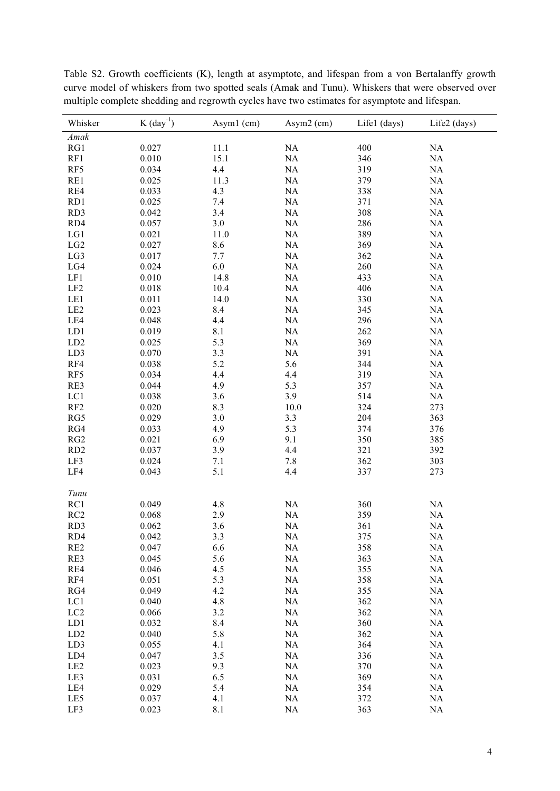| Whisker         | $K$ (day <sup>-1</sup> ) | Asym1 (cm) | Asym2 (cm) | Life1 (days) | Life2 (days) |
|-----------------|--------------------------|------------|------------|--------------|--------------|
| Amak            |                          |            |            |              |              |
| RG1             | 0.027                    | 11.1       | $\rm NA$   | 400          | $\rm NA$     |
| RF1             | 0.010                    | 15.1       | $\rm NA$   | 346          | NA           |
| RF5             | 0.034                    | 4.4        | NA         | 319          | NA           |
| RE1             | 0.025                    | 11.3       | NA         | 379          | NA           |
| RE4             | 0.033                    | 4.3        | NA         | 338          | NA           |
| RD1             | 0.025                    | 7.4        | NA         | 371          | NA           |
| RD3             | 0.042                    | 3.4        | $\rm NA$   | 308          | NA           |
| RD4             | 0.057                    | $3.0$      | NA         | 286          | $\rm NA$     |
| LG1             | 0.021                    | 11.0       | $\rm NA$   | 389          | $\rm NA$     |
| LG2             | 0.027                    | $8.6\,$    | $\rm NA$   | 369          | $\rm NA$     |
| LG3             | 0.017                    | 7.7        | $\rm NA$   | 362          | NA           |
| LG4             | 0.024                    | $6.0\,$    | NA         | 260          | NA           |
| LF1             | 0.010                    | 14.8       | $\rm NA$   | 433          | NA           |
| LF <sub>2</sub> | 0.018                    | 10.4       | $\rm NA$   | 406          | NA           |
| LE1             | 0.011                    | 14.0       | $\rm NA$   | 330          | NA           |
| LE2             | 0.023                    | 8.4        | $\rm NA$   | 345          | NA           |
| LE4             | 0.048                    | 4.4        | NA         | 296          | NA           |
| LD1             | 0.019                    | 8.1        | NA         | 262          | NA           |
| LD2             | 0.025                    | 5.3        | NA         | 369          | NA           |
| LD3             | 0.070                    | 3.3        | $\rm NA$   | 391          | NA           |
| RF4             | 0.038                    | 5.2        | 5.6        | 344          | $\rm NA$     |
| RF5             | 0.034                    | 4.4        | 4.4        | 319          | $\rm NA$     |
| RE3             | 0.044                    | 4.9        | 5.3        | 357          | $\rm NA$     |
| LC1             | 0.038                    | 3.6        | 3.9        | 514          | $\rm NA$     |
| RF2             | 0.020                    | 8.3        | $10.0$     | 324          | 273          |
| RG5             | 0.029                    | $3.0$      | 3.3        | 204          | 363          |
| RG4             | 0.033                    | 4.9        | 5.3        | 374          | 376          |
| RG2             | 0.021                    | 6.9        | 9.1        | 350          | 385          |
| RD2             | 0.037                    | 3.9        | 4.4        | 321          | 392          |
| LF3             | 0.024                    | 7.1        | 7.8        | 362          | 303          |
| LF4             | 0.043                    | 5.1        | 4.4        | 337          | 273          |
|                 |                          |            |            |              |              |
| Tunu            |                          |            |            |              |              |
| RC1             | 0.049                    | 4.8        | $\rm NA$   | 360          | $\rm NA$     |
| RC2             | 0.068                    | 2.9        | $\rm NA$   | 359          | NA           |
| RD3             | 0.062                    | 3.6        | NA         | 361          | NA           |
| RD4             | 0.042                    | 3.3        | NA         | 375          | NA           |
| RE <sub>2</sub> | 0.047                    | 6.6        | NA         | 358          | NA           |
| RE3             | 0.045                    | 5.6        | NA         | 363          | NA           |
| RE4             | 0.046                    | 4.5        | NA         | 355          | <b>NA</b>    |
| RF4             | 0.051                    | 5.3        | NA         | 358          | NA           |
| RG4             | 0.049                    | 4.2        | NA         | 355          | NA           |
| LC1             | 0.040                    | 4.8        | NA         | 362          | <b>NA</b>    |
| LC <sub>2</sub> | 0.066                    | 3.2        | NA         | 362          | NA           |
| LD1             | 0.032                    | 8.4        | NA         | 360          | NA           |
| ${\rm LD2}$     | 0.040                    | 5.8        | NA         | 362          | NA           |
| LD3             | 0.055                    | 4.1        | NA         | 364          | NA           |
| LD4             | 0.047                    | 3.5        | NA         | 336          | NA           |
| LE <sub>2</sub> | 0.023                    | 9.3        | NA         | 370          | NA           |
| LE3             | 0.031                    | 6.5        | NA         | 369          | NA           |
| LE4             | 0.029                    | 5.4        | NA         | 354          | NA           |
| LE5             | 0.037                    | 4.1        | NA         | 372          | NA           |
| LF3             | 0.023                    | 8.1        | $\rm NA$   | 363          | NA           |

Table S2. Growth coefficients (K), length at asymptote, and lifespan from a von Bertalanffy growth curve model of whiskers from two spotted seals (Amak and Tunu). Whiskers that were observed over multiple complete shedding and regrowth cycles have two estimates for asymptote and lifespan.